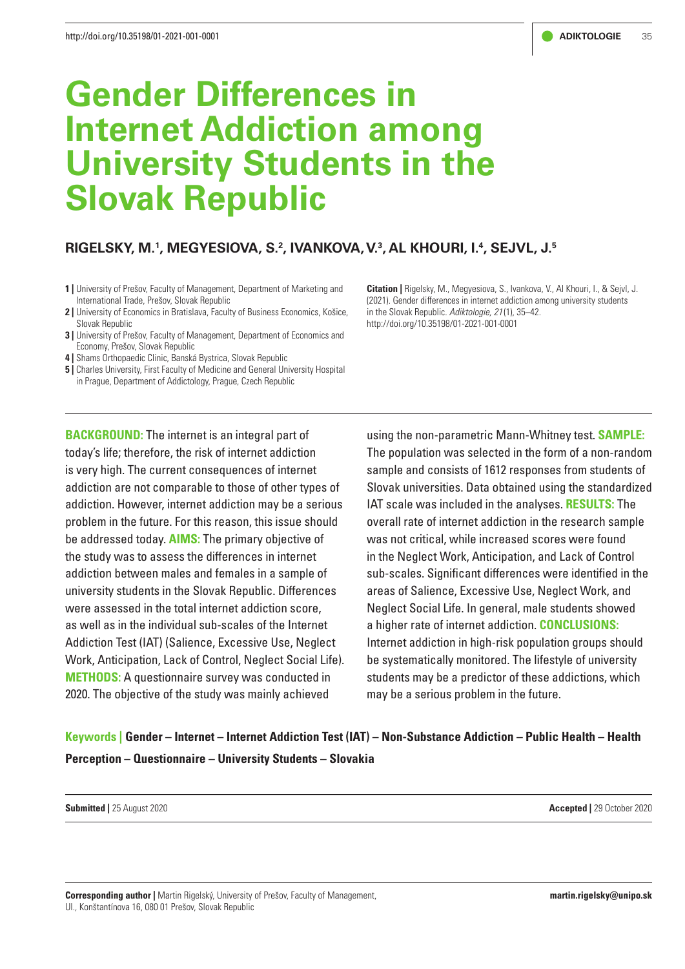# **Gender Differences in Internet Addiction among University Students in the Slovak Republic**

# **RIGELSKY, M.1 , MEGYESIOVA, S.2 , IVANKOVA, V.3 , AL KHOURI, I.4 , SEJVL, J.5**

- **1 |** University of Prešov, Faculty of Management, Department of Marketing and International Trade, Prešov, Slovak Republic
- **2 |** University of Economics in Bratislava, Faculty of Business Economics, Košice, Slovak Republic
- **3 | University of Prešov, Faculty of Management, Department of Economics and** Economy, Prešov, Slovak Republic
- **4 |** Shams Orthopaedic Clinic, Banská Bystrica, Slovak Republic
- **5** | Charles University, First Faculty of Medicine and General University Hospital in Prague, Department of Addictology, Prague, Czech Republic

**BACKGROUND:** The internet is an integral part of today's life; therefore, the risk of internet addiction is very high. The current consequences of internet addiction are not comparable to those of other types of addiction. However, internet addiction may be a serious problem in the future. For this reason, this issue should be addressed today. **AIMS:** The primary objective of the study was to assess the differences in internet addiction between males and females in a sample of university students in the Slovak Republic. Differences were assessed in the total internet addiction score, as well as in the individual sub-scales of the Internet Addiction Test (IAT) (Salience, Excessive Use, Neglect Work, Anticipation, Lack of Control, Neglect Social Life). **METHODS:** A questionnaire survey was conducted in 2020. The objective of the study was mainly achieved

**Citation |** Rigelsky, M., Megyesiova, S., Ivankova, V., Al Khouri, I., & Sejvl, J. (2021). Gender differences in internet addiction among university students in the Slovak Republic. *Adiktologie, 21* (1), 35–42. http://doi.org/10.35198/01-2021-001-0001

using the non-parametric Mann-Whitney test. **SAMPLE:** The population was selected in the form of a non-random sample and consists of 1612 responses from students of Slovak universities. Data obtained using the standardized IAT scale was included in the analyses. **RESULTS:** The overall rate of internet addiction in the research sample was not critical, while increased scores were found in the Neglect Work, Anticipation, and Lack of Control sub-scales. Significant differences were identified in the areas of Salience, Excessive Use, Neglect Work, and Neglect Social Life. In general, male students showed a higher rate of internet addiction. **CONCLUSIONS:**  Internet addiction in high-risk population groups should be systematically monitored. The lifestyle of university students may be a predictor of these addictions, which may be a serious problem in the future.

**Keywords | Gender – Internet – Internet Addiction Test (IAT) – Non-Substance Addiction – Public Health – Health Perception – Questionnaire – University Students – Slovakia** 

**Submitted |** 25 August 2020 **Accepted |** 29 October 2020

**Corresponding author |** Martin Rigelský, University of Prešov, Faculty of Management, Ul., Konštantínova 16, 080 01 Prešov, Slovak Republic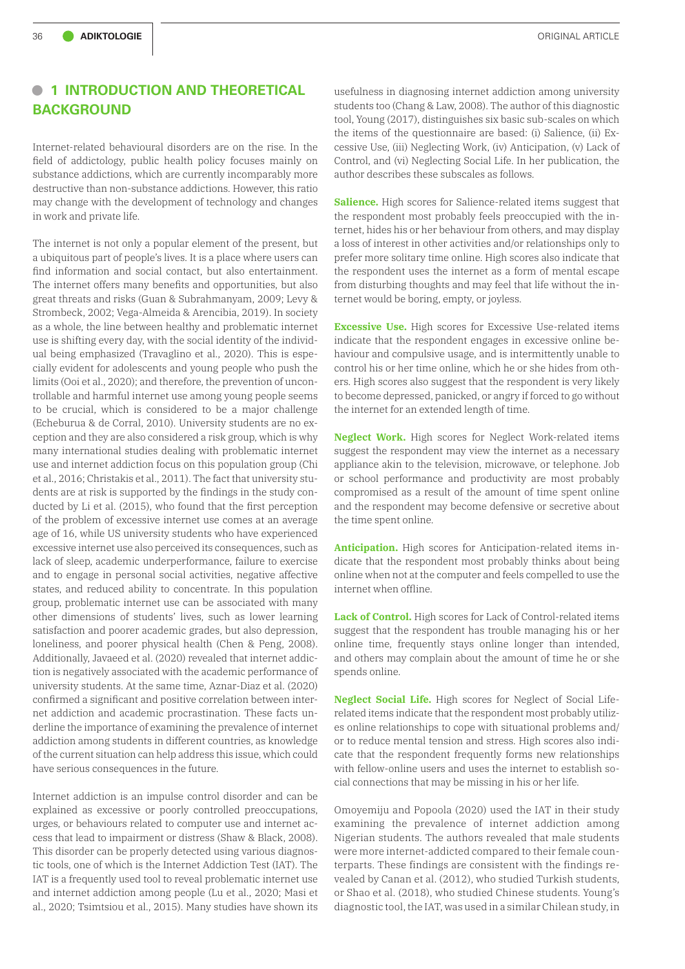# **• <sup>1</sup> INTRODUCTION AND THEORETICAL BACKGROUND**

Internet-related behavioural disorders are on the rise. In the field of addictology, public health policy focuses mainly on substance addictions, which are currently incomparably more destructive than non-substance addictions. However, this ratio may change with the development of technology and changes in work and private life.

The internet is not only a popular element of the present, but a ubiquitous part of people's lives. It is a place where users can find information and social contact, but also entertainment. The internet offers many benefits and opportunities, but also great threats and risks (Guan & Subrahmanyam, 2009; Levy & Strombeck, 2002; Vega-Almeida & Arencibia, 2019). In society as a whole, the line between healthy and problematic internet use is shifting every day, with the social identity of the individual being emphasized (Travaglino et al., 2020). This is especially evident for adolescents and young people who push the limits (Ooi et al., 2020); and therefore, the prevention of uncontrollable and harmful internet use among young people seems to be crucial, which is considered to be a major challenge (Echeburua & de Corral, 2010). University students are no exception and they are also considered a risk group, which is why many international studies dealing with problematic internet use and internet addiction focus on this population group (Chi et al., 2016; Christakis et al., 2011). The fact that university students are at risk is supported by the findings in the study conducted by Li et al. (2015), who found that the first perception of the problem of excessive internet use comes at an average age of 16, while US university students who have experienced excessive internet use also perceived its consequences, such as lack of sleep, academic underperformance, failure to exercise and to engage in personal social activities, negative affective states, and reduced ability to concentrate. In this population group, problematic internet use can be associated with many other dimensions of students' lives, such as lower learning satisfaction and poorer academic grades, but also depression, loneliness, and poorer physical health (Chen & Peng, 2008). Additionally, Javaeed et al. (2020) revealed that internet addiction is negatively associated with the academic performance of university students. At the same time, Aznar-Diaz et al. (2020) confirmed a significant and positive correlation between internet addiction and academic procrastination. These facts underline the importance of examining the prevalence of internet addiction among students in different countries, as knowledge of the current situation can help address this issue, which could have serious consequences in the future.

Internet addiction is an impulse control disorder and can be explained as excessive or poorly controlled preoccupations, urges, or behaviours related to computer use and internet access that lead to impairment or distress (Shaw & Black, 2008). This disorder can be properly detected using various diagnostic tools, one of which is the Internet Addiction Test (IAT). The IAT is a frequently used tool to reveal problematic internet use and internet addiction among people (Lu et al., 2020; Masi et al., 2020; Tsimtsiou et al., 2015). Many studies have shown its

usefulness in diagnosing internet addiction among university students too (Chang & Law, 2008). The author of this diagnostic tool, Young (2017), distinguishes six basic sub-scales on which the items of the questionnaire are based: (i) Salience, (ii) Excessive Use, (iii) Neglecting Work, (iv) Anticipation, (v) Lack of Control, and (vi) Neglecting Social Life. In her publication, the author describes these subscales as follows.

**Salience.** High scores for Salience-related items suggest that the respondent most probably feels preoccupied with the internet, hides his or her behaviour from others, and may display a loss of interest in other activities and/or relationships only to prefer more solitary time online. High scores also indicate that the respondent uses the internet as a form of mental escape from disturbing thoughts and may feel that life without the internet would be boring, empty, or joyless.

**Excessive Use.** High scores for Excessive Use-related items indicate that the respondent engages in excessive online behaviour and compulsive usage, and is intermittently unable to control his or her time online, which he or she hides from others. High scores also suggest that the respondent is very likely to become depressed, panicked, or angry if forced to go without the internet for an extended length of time.

**Neglect Work.** High scores for Neglect Work-related items suggest the respondent may view the internet as a necessary appliance akin to the television, microwave, or telephone. Job or school performance and productivity are most probably compromised as a result of the amount of time spent online and the respondent may become defensive or secretive about the time spent online.

**Anticipation.** High scores for Anticipation-related items indicate that the respondent most probably thinks about being online when not at the computer and feels compelled to use the internet when offline.

**Lack of Control.** High scores for Lack of Control-related items suggest that the respondent has trouble managing his or her online time, frequently stays online longer than intended, and others may complain about the amount of time he or she spends online.

**Neglect Social Life.** High scores for Neglect of Social Liferelated items indicate that the respondent most probably utilizes online relationships to cope with situational problems and/ or to reduce mental tension and stress. High scores also indicate that the respondent frequently forms new relationships with fellow-online users and uses the internet to establish social connections that may be missing in his or her life.

Omoyemiju and Popoola (2020) used the IAT in their study examining the prevalence of internet addiction among Nigerian students. The authors revealed that male students were more internet-addicted compared to their female counterparts. These findings are consistent with the findings revealed by Canan et al. (2012), who studied Turkish students, or Shao et al. (2018), who studied Chinese students. Young's diagnostic tool, the IAT, was used in a similar Chilean study, in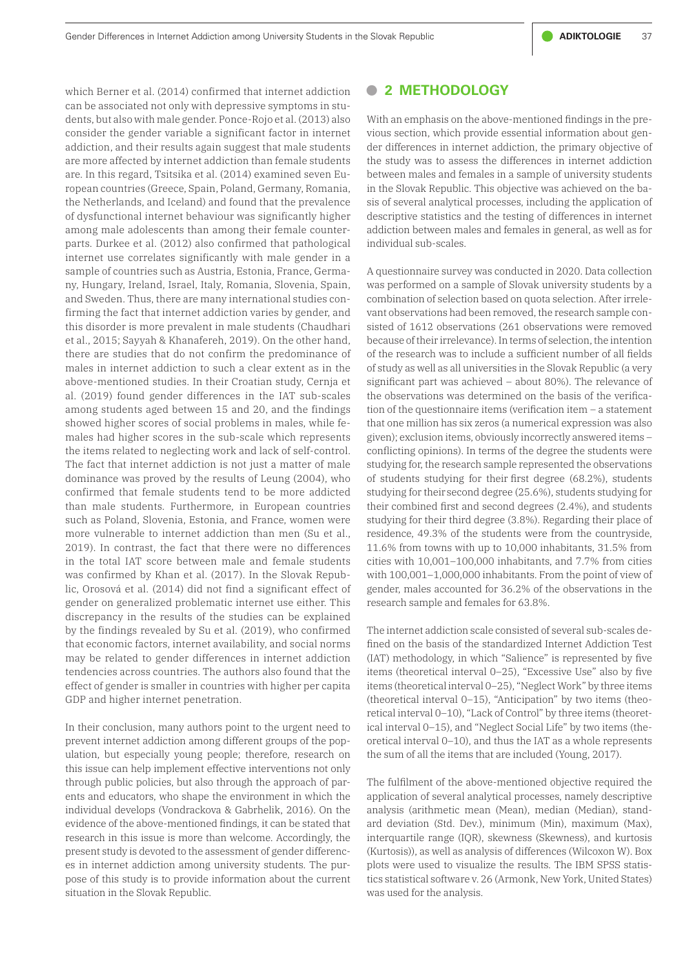which Berner et al. (2014) confirmed that internet addiction can be associated not only with depressive symptoms in students, but also with male gender. Ponce-Rojo et al. (2013) also consider the gender variable a significant factor in internet addiction, and their results again suggest that male students are more affected by internet addiction than female students are. In this regard, Tsitsika et al. (2014) examined seven European countries (Greece, Spain, Poland, Germany, Romania, the Netherlands, and Iceland) and found that the prevalence of dysfunctional internet behaviour was significantly higher among male adolescents than among their female counterparts. Durkee et al. (2012) also confirmed that pathological internet use correlates significantly with male gender in a sample of countries such as Austria, Estonia, France, Germany, Hungary, Ireland, Israel, Italy, Romania, Slovenia, Spain, and Sweden. Thus, there are many international studies confirming the fact that internet addiction varies by gender, and this disorder is more prevalent in male students (Chaudhari et al., 2015; Sayyah & Khanafereh, 2019). On the other hand, there are studies that do not confirm the predominance of males in internet addiction to such a clear extent as in the above-mentioned studies. In their Croatian study, Cernja et al. (2019) found gender differences in the IAT sub-scales among students aged between 15 and 20, and the findings showed higher scores of social problems in males, while females had higher scores in the sub-scale which represents the items related to neglecting work and lack of self-control. The fact that internet addiction is not just a matter of male dominance was proved by the results of Leung (2004), who confirmed that female students tend to be more addicted than male students. Furthermore, in European countries such as Poland, Slovenia, Estonia, and France, women were more vulnerable to internet addiction than men (Su et al., 2019). In contrast, the fact that there were no differences in the total IAT score between male and female students was confirmed by Khan et al. (2017). In the Slovak Republic, Orosová et al. (2014) did not find a significant effect of gender on generalized problematic internet use either. This discrepancy in the results of the studies can be explained by the findings revealed by Su et al. (2019), who confirmed that economic factors, internet availability, and social norms may be related to gender differences in internet addiction tendencies across countries. The authors also found that the effect of gender is smaller in countries with higher per capita GDP and higher internet penetration.

In their conclusion, many authors point to the urgent need to prevent internet addiction among different groups of the population, but especially young people; therefore, research on this issue can help implement effective interventions not only through public policies, but also through the approach of parents and educators, who shape the environment in which the individual develops (Vondrackova & Gabrhelik, 2016). On the evidence of the above-mentioned findings, it can be stated that research in this issue is more than welcome. Accordingly, the present study is devoted to the assessment of gender differences in internet addiction among university students. The purpose of this study is to provide information about the current situation in the Slovak Republic.

## **• <sup>2</sup> METHODOLOGY**

With an emphasis on the above-mentioned findings in the previous section, which provide essential information about gender differences in internet addiction, the primary objective of the study was to assess the differences in internet addiction between males and females in a sample of university students in the Slovak Republic. This objective was achieved on the basis of several analytical processes, including the application of descriptive statistics and the testing of differences in internet addiction between males and females in general, as well as for individual sub-scales.

A questionnaire survey was conducted in 2020. Data collection was performed on a sample of Slovak university students by a combination of selection based on quota selection. After irrelevant observations had been removed, the research sample consisted of 1612 observations (261 observations were removed because of their irrelevance). In terms of selection, the intention of the research was to include a sufficient number of all fields of study as well as all universities in the Slovak Republic (a very significant part was achieved – about 80%). The relevance of the observations was determined on the basis of the verification of the questionnaire items (verification item – a statement that one million has six zeros (a numerical expression was also given); exclusion items, obviously incorrectly answered items – conflicting opinions). In terms of the degree the students were studying for, the research sample represented the observations of students studying for their first degree (68.2%), students studying for their second degree (25.6%), students studying for their combined first and second degrees (2.4%), and students studying for their third degree (3.8%). Regarding their place of residence, 49.3% of the students were from the countryside, 11.6% from towns with up to 10,000 inhabitants, 31.5% from cities with 10,001–100,000 inhabitants, and 7.7% from cities with 100,001–1,000,000 inhabitants. From the point of view of gender, males accounted for 36.2% of the observations in the research sample and females for 63.8%.

The internet addiction scale consisted of several sub-scales defined on the basis of the standardized Internet Addiction Test (IAT) methodology, in which "Salience" is represented by five items (theoretical interval 0–25), "Excessive Use" also by five items (theoretical interval 0–25), "Neglect Work" by three items (theoretical interval 0–15), "Anticipation" by two items (theoretical interval 0–10), "Lack of Control" by three items (theoretical interval 0–15), and "Neglect Social Life" by two items (theoretical interval 0–10), and thus the IAT as a whole represents the sum of all the items that are included (Young, 2017).

The fulfilment of the above-mentioned objective required the application of several analytical processes, namely descriptive analysis (arithmetic mean (Mean), median (Median), standard deviation (Std. Dev.), minimum (Min), maximum (Max), interquartile range (IQR), skewness (Skewness), and kurtosis (Kurtosis)), as well as analysis of differences (Wilcoxon W). Box plots were used to visualize the results. The IBM SPSS statistics statistical software v. 26 (Armonk, New York, United States) was used for the analysis.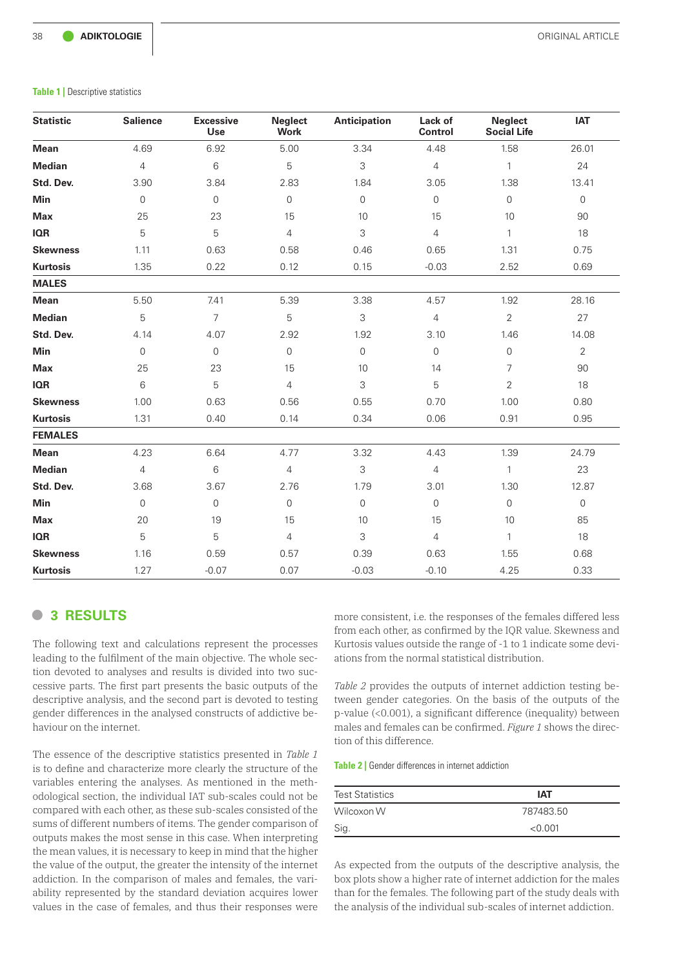#### **Table 1** | Descriptive statistics

| <b>Statistic</b> | <b>Salience</b>     | <b>Excessive</b><br>Use | Neglect<br><b>Work</b> | <b>Anticipation</b> | Lack of<br>Control  | <b>Neglect</b><br><b>Social Life</b> | <b>IAT</b>     |
|------------------|---------------------|-------------------------|------------------------|---------------------|---------------------|--------------------------------------|----------------|
| <b>Mean</b>      | 4.69                | 6.92                    | 5.00                   | 3.34                | 4.48                | 1.58                                 | 26.01          |
| <b>Median</b>    | $\overline{4}$      | 6                       | 5                      | 3                   | $\overline{4}$      | $\mathbf{1}$                         | 24             |
| Std. Dev.        | 3.90                | 3.84                    | 2.83                   | 1.84                | 3.05                | 1.38                                 | 13.41          |
| Min              | $\mathsf{O}\xspace$ | $\mathsf{O}\xspace$     | $\mathsf{O}\xspace$    | $\mathsf{O}\xspace$ | $\mathsf{O}\xspace$ | $\mathsf{O}$                         | $\mathsf{O}$   |
| <b>Max</b>       | 25                  | 23                      | 15                     | 10                  | 15                  | 10                                   | 90             |
| <b>IQR</b>       | 5                   | 5                       | $\overline{4}$         | 3                   | $\overline{4}$      | $\mathbf{1}$                         | 18             |
| <b>Skewness</b>  | 1.11                | 0.63                    | 0.58                   | 0.46                | 0.65                | 1.31                                 | 0.75           |
| <b>Kurtosis</b>  | 1.35                | 0.22                    | 0.12                   | 0.15                | $-0.03$             | 2.52                                 | 0.69           |
| <b>MALES</b>     |                     |                         |                        |                     |                     |                                      |                |
| <b>Mean</b>      | 5.50                | 7.41                    | 5.39                   | 3.38                | 4.57                | 1.92                                 | 28.16          |
| <b>Median</b>    | 5                   | 7                       | 5                      | 3                   | $\overline{4}$      | $\overline{2}$                       | 27             |
| Std. Dev.        | 4.14                | 4.07                    | 2.92                   | 1.92                | 3.10                | 1.46                                 | 14.08          |
| Min              | $\overline{0}$      | $\overline{0}$          | $\overline{0}$         | $\mathsf{O}\xspace$ | $\mathsf{O}\xspace$ | $\mathbf 0$                          | $\overline{2}$ |
| <b>Max</b>       | 25                  | 23                      | 15                     | 10                  | 14                  | $\overline{7}$                       | 90             |
| <b>IQR</b>       | 6                   | 5                       | $\overline{4}$         | 3                   | 5                   | $\overline{2}$                       | 18             |
| <b>Skewness</b>  | 1.00                | 0.63                    | 0.56                   | 0.55                | 0.70                | 1.00                                 | 0.80           |
| <b>Kurtosis</b>  | 1.31                | 0.40                    | 0.14                   | 0.34                | 0.06                | 0.91                                 | 0.95           |
| <b>FEMALES</b>   |                     |                         |                        |                     |                     |                                      |                |
| <b>Mean</b>      | 4.23                | 6.64                    | 4.77                   | 3.32                | 4.43                | 1.39                                 | 24.79          |
| <b>Median</b>    | $\overline{4}$      | 6                       | $\overline{4}$         | 3                   | $\overline{4}$      | $\mathbf{1}$                         | 23             |
| Std. Dev.        | 3.68                | 3.67                    | 2.76                   | 1.79                | 3.01                | 1.30                                 | 12.87          |
| <b>Min</b>       | 0                   | 0                       | $\overline{0}$         | $\mathsf{O}\xspace$ | $\mathsf{O}\xspace$ | $\Omega$                             | $\mathbf 0$    |
| <b>Max</b>       | 20                  | 19                      | 15                     | $10$                | 15                  | 10                                   | 85             |
| <b>IQR</b>       | 5                   | 5                       | $\overline{4}$         | 3                   | $\overline{4}$      | $\mathbf{1}$                         | 18             |
| <b>Skewness</b>  | 1.16                | 0.59                    | 0.57                   | 0.39                | 0.63                | 1.55                                 | 0.68           |
| <b>Kurtosis</b>  | 1.27                | $-0.07$                 | 0.07                   | $-0.03$             | $-0.10$             | 4.25                                 | 0.33           |

## **• <sup>3</sup> RESULTS**

The following text and calculations represent the processes leading to the fulfilment of the main objective. The whole section devoted to analyses and results is divided into two successive parts. The first part presents the basic outputs of the descriptive analysis, and the second part is devoted to testing gender differences in the analysed constructs of addictive behaviour on the internet.

The essence of the descriptive statistics presented in *Table 1* is to define and characterize more clearly the structure of the variables entering the analyses. As mentioned in the methodological section, the individual IAT sub-scales could not be compared with each other, as these sub-scales consisted of the sums of different numbers of items. The gender comparison of outputs makes the most sense in this case. When interpreting the mean values, it is necessary to keep in mind that the higher the value of the output, the greater the intensity of the internet addiction. In the comparison of males and females, the variability represented by the standard deviation acquires lower values in the case of females, and thus their responses were

more consistent, i.e. the responses of the females differed less from each other, as confirmed by the IQR value. Skewness and Kurtosis values outside the range of -1 to 1 indicate some deviations from the normal statistical distribution.

*Table 2* provides the outputs of internet addiction testing between gender categories. On the basis of the outputs of the p-value (<0.001), a significant difference (inequality) between males and females can be confirmed. *Figure 1* shows the direction of this difference.

#### **Table 2** | Gender differences in internet addiction

| <b>Test Statistics</b> | IAT       |
|------------------------|-----------|
| Wilcoxon W             | 787483.50 |
| Sig.                   | < 0.001   |

As expected from the outputs of the descriptive analysis, the box plots show a higher rate of internet addiction for the males than for the females. The following part of the study deals with the analysis of the individual sub-scales of internet addiction.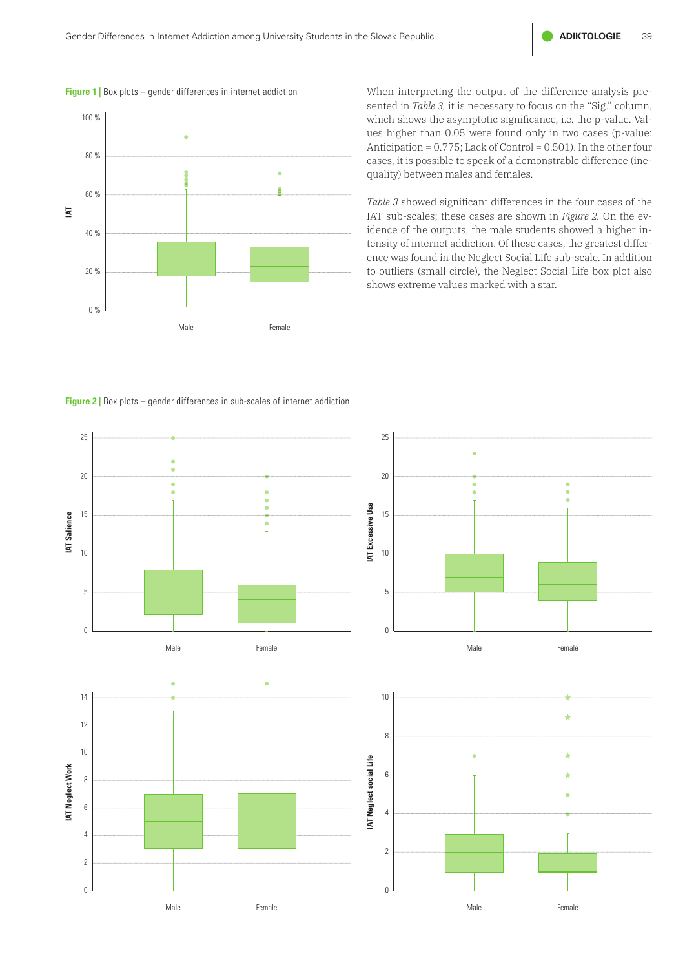**Figure 1** | Box plots – gender differences in internet addiction



When interpreting the output of the difference analysis presented in *Table 3,* it is necessary to focus on the "Sig." column, which shows the asymptotic significance, i.e. the p-value. Values higher than 0.05 were found only in two cases (p-value: Anticipation = 0.775; Lack of Control = 0.501). In the other four cases, it is possible to speak of a demonstrable difference (inequality) between males and females.

*Table 3* showed significant differences in the four cases of the IAT sub-scales; these cases are shown in *Figure 2.* On the evidence of the outputs, the male students showed a higher intensity of internet addiction. Of these cases, the greatest difference was found in the Neglect Social Life sub-scale. In addition to outliers (small circle), the Neglect Social Life box plot also shows extreme values marked with a star.

**Figure 2** | Box plots – gender differences in sub-scales of internet addiction

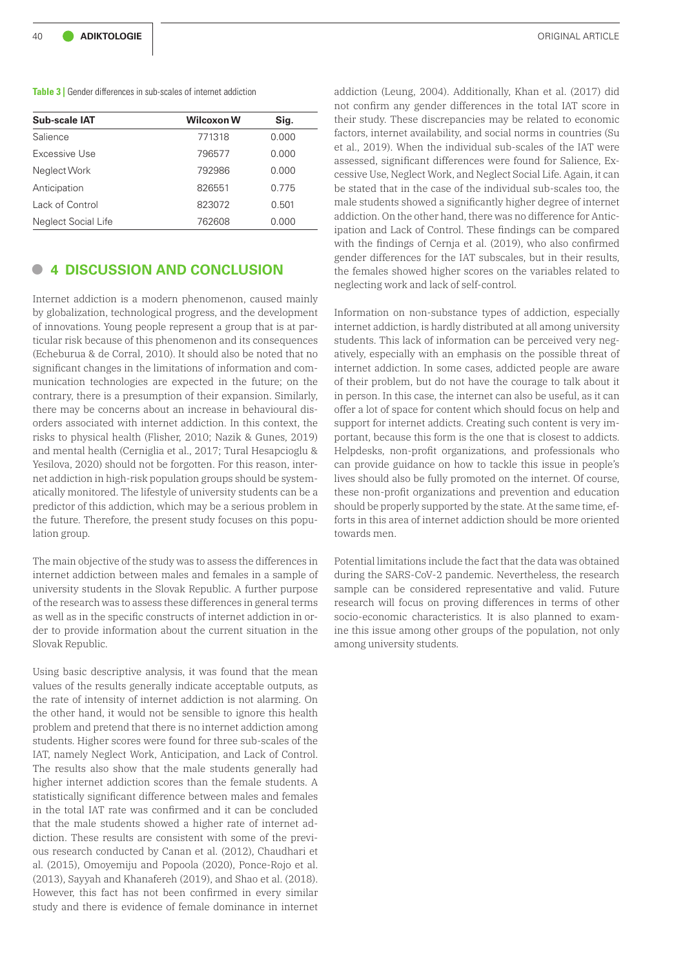#### **Table 3** Gender differences in sub-scales of internet addiction

| Sub-scale IAT       | <b>Wilcoxon W</b> | Sig.  |
|---------------------|-------------------|-------|
| Salience            | 771318            | 0.000 |
| Excessive Use       | 796577            | 0.000 |
| Neglect Work        | 792986            | 0.000 |
| Anticipation        | 826551            | 0.775 |
| Lack of Control     | 823072            | 0.501 |
| Neglect Social Life | 762608            | 0.000 |
|                     |                   |       |

## **• <sup>4</sup> DISCUSSION AND CONCLUSION**

Internet addiction is a modern phenomenon, caused mainly by globalization, technological progress, and the development of innovations. Young people represent a group that is at particular risk because of this phenomenon and its consequences (Echeburua & de Corral, 2010). It should also be noted that no significant changes in the limitations of information and communication technologies are expected in the future; on the contrary, there is a presumption of their expansion. Similarly, there may be concerns about an increase in behavioural disorders associated with internet addiction. In this context, the risks to physical health (Flisher, 2010; Nazik & Gunes, 2019) and mental health (Cerniglia et al., 2017; Tural Hesapcioglu & Yesilova, 2020) should not be forgotten. For this reason, internet addiction in high-risk population groups should be systematically monitored. The lifestyle of university students can be a predictor of this addiction, which may be a serious problem in the future. Therefore, the present study focuses on this population group.

The main objective of the study was to assess the differences in internet addiction between males and females in a sample of university students in the Slovak Republic. A further purpose of the research was to assess these differences in general terms as well as in the specific constructs of internet addiction in order to provide information about the current situation in the Slovak Republic.

Using basic descriptive analysis, it was found that the mean values of the results generally indicate acceptable outputs, as the rate of intensity of internet addiction is not alarming. On the other hand, it would not be sensible to ignore this health problem and pretend that there is no internet addiction among students. Higher scores were found for three sub-scales of the IAT, namely Neglect Work, Anticipation, and Lack of Control. The results also show that the male students generally had higher internet addiction scores than the female students. A statistically significant difference between males and females in the total IAT rate was confirmed and it can be concluded that the male students showed a higher rate of internet addiction. These results are consistent with some of the previous research conducted by Canan et al. (2012), Chaudhari et al. (2015), Omoyemiju and Popoola (2020), Ponce-Rojo et al. (2013), Sayyah and Khanafereh (2019), and Shao et al. (2018). However, this fact has not been confirmed in every similar study and there is evidence of female dominance in internet

addiction (Leung, 2004). Additionally, Khan et al. (2017) did not confirm any gender differences in the total IAT score in their study. These discrepancies may be related to economic factors, internet availability, and social norms in countries (Su et al., 2019). When the individual sub-scales of the IAT were assessed, significant differences were found for Salience, Excessive Use, Neglect Work, and Neglect Social Life. Again, it can be stated that in the case of the individual sub-scales too, the male students showed a significantly higher degree of internet addiction. On the other hand, there was no difference for Anticipation and Lack of Control. These findings can be compared with the findings of Cernja et al. (2019), who also confirmed gender differences for the IAT subscales, but in their results, the females showed higher scores on the variables related to neglecting work and lack of self-control.

Information on non-substance types of addiction, especially internet addiction, is hardly distributed at all among university students. This lack of information can be perceived very negatively, especially with an emphasis on the possible threat of internet addiction. In some cases, addicted people are aware of their problem, but do not have the courage to talk about it in person. In this case, the internet can also be useful, as it can offer a lot of space for content which should focus on help and support for internet addicts. Creating such content is very important, because this form is the one that is closest to addicts. Helpdesks, non-profit organizations, and professionals who can provide guidance on how to tackle this issue in people's lives should also be fully promoted on the internet. Of course, these non-profit organizations and prevention and education should be properly supported by the state. At the same time, efforts in this area of internet addiction should be more oriented towards men.

Potential limitations include the fact that the data was obtained during the SARS-CoV-2 pandemic. Nevertheless, the research sample can be considered representative and valid. Future research will focus on proving differences in terms of other socio-economic characteristics. It is also planned to examine this issue among other groups of the population, not only among university students.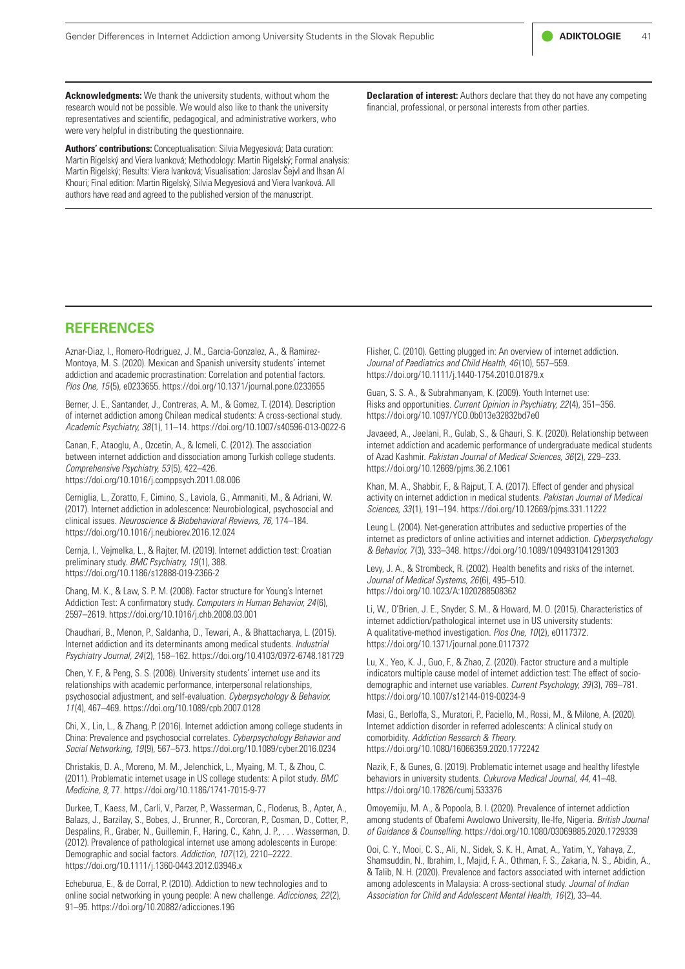

**Acknowledgments:** We thank the university students, without whom the research would not be possible. We would also like to thank the university representatives and scientific, pedagogical, and administrative workers, who were very helpful in distributing the questionnaire.

**Authors' contributions:** Conceptualisation: Silvia Megyesiová; Data curation: Martin Rigelský and Viera Ivanková; Methodology: Martin Rigelský; Formal analysis: Martin Rigelský; Results: Viera Ivanková; Visualisation: Jaroslav Šejvl and Ihsan Al Khouri; Final edition: Martin Rigelský, Silvia Megyesiová and Viera Ivanková. All authors have read and agreed to the published version of the manuscript.

**Declaration of interest:** Authors declare that they do not have any competing financial, professional, or personal interests from other parties.

### **REFERENCES**

Aznar-Diaz, I., Romero-Rodriguez, J. M., Garcia-Gonzalez, A., & Ramirez-Montoya, M. S. (2020). Mexican and Spanish university students' internet addiction and academic procrastination: Correlation and potential factors. *Plos One, 15* (5), e0233655.<https://doi.org/10.1371/journal.pone.0233655>

Berner, J. E., Santander, J., Contreras, A. M., & Gomez, T. (2014). Description of internet addiction among Chilean medical students: A cross-sectional study. *Academic Psychiatry, 38* (1), 11–14. https://doi.org/10.1007/s40596-013-0022-6

Canan, F., Ataoglu, A., Ozcetin, A., & Icmeli, C. (2012). The association between internet addiction and dissociation among Turkish college students. *Comprehensive Psychiatry, 53* (5), 422–426. <https://doi.org/10.1016/j.comppsych.2011.08.006>

Cerniglia, L., Zoratto, F., Cimino, S., Laviola, G., Ammaniti, M., & Adriani, W. (2017). Internet addiction in adolescence: Neurobiological, psychosocial and clinical issues. *Neuroscience & Biobehavioral Reviews, 76,* 174–184. <https://doi.org/10.1016/j.neubiorev.2016.12.024>

Cernja, I., Vejmelka, L., & Rajter, M. (2019). Internet addiction test: Croatian preliminary study. *BMC Psychiatry, 19* (1), 388. <https://doi.org/10.1186/s12888-019-2366-2>

Chang, M. K., & Law, S. P. M. (2008). Factor structure for Young's Internet Addiction Test: A confirmatory study. *Computers in Human Behavior, 24* (6), 2597–2619. <https://doi.org/10.1016/j.chb.2008.03.001>

Chaudhari, B., Menon, P., Saldanha, D., Tewari, A., & Bhattacharya, L. (2015). Internet addiction and its determinants among medical students. *Industrial Psychiatry Journal, 24* (2), 158–162.<https://doi.org/10.4103/0972-6748.181729>

Chen, Y. F., & Peng, S. S. (2008). University students' internet use and its relationships with academic performance, interpersonal relationships, psychosocial adjustment, and self-evaluation. *Cyberpsychology & Behavior, 11* (4), 467–469.<https://doi.org/10.1089/cpb.2007.0128>

Chi, X., Lin, L., & Zhang, P. (2016). Internet addiction among college students in China: Prevalence and psychosocial correlates. *Cyberpsychology Behavior and Social Networking, 19* (9), 567–573. https://doi.org/10.1089/cyber.2016.0234

Christakis, D. A., Moreno, M. M., Jelenchick, L., Myaing, M. T., & Zhou, C. (2011). Problematic internet usage in US college students: A pilot study. *BMC Medicine, 9,* 77.<https://doi.org/10.1186/1741-7015-9-77>

Durkee, T., Kaess, M., Carli, V., Parzer, P., Wasserman, C., Floderus, B., Apter, A., Balazs, J., Barzilay, S., Bobes, J., Brunner, R., Corcoran, P., Cosman, D., Cotter, P., Despalins, R., Graber, N., Guillemin, F., Haring, C., Kahn, J. P., . . . Wasserman, D. (2012). Prevalence of pathological internet use among adolescents in Europe: Demographic and social factors. *Addiction, 107* (12), 2210–2222. https://doi.org/10.1111/j.1360-0443.2012.03946.x

Echeburua, E., & de Corral, P. (2010). Addiction to new technologies and to online social networking in young people: A new challenge. *Adicciones, 22* (2), 91–95. <https://doi.org/10.20882/adicciones.196>

Flisher, C. (2010). Getting plugged in: An overview of internet addiction. *Journal of Paediatrics and Child Health, 46* (10), 557–559. <https://doi.org/10.1111/j.1440-1754.2010.01879.x>

Guan, S. S. A., & Subrahmanyam, K. (2009). Youth Internet use: Risks and opportunities. *Current Opinion in Psychiatry, 22* (4), 351–356. <https://doi.org/10.1097/YCO.0b013e32832bd7e0>

Javaeed, A., Jeelani, R., Gulab, S., & Ghauri, S. K. (2020). Relationship between internet addiction and academic performance of undergraduate medical students of Azad Kashmir. *Pakistan Journal of Medical Sciences, 36* (2), 229–233. <https://doi.org/10.12669/pjms.36.2.1061>

Khan, M. A., Shabbir, F., & Rajput, T. A. (2017). Effect of gender and physical activity on internet addiction in medical students. *Pakistan Journal of Medical Sciences, 33* (1), 191–194. <https://doi.org/10.12669/pjms.331.11222>

Leung L. (2004). Net-generation attributes and seductive properties of the internet as predictors of online activities and internet addiction. *Cyberpsychology & Behavior, 7* (3), 333–348. <https://doi.org/10.1089/1094931041291303>

Levy, J. A., & Strombeck, R. (2002). Health benefits and risks of the internet. *Journal of Medical Systems, 26* (6), 495–510. <https://doi.org/10.1023/A:1020288508362>

Li, W., O'Brien, J. E., Snyder, S. M., & Howard, M. O. (2015). Characteristics of internet addiction/pathological internet use in US university students: A qualitative-method investigation. *Plos One, 10* (2), e0117372. <https://doi.org/10.1371/journal.pone.0117372>

Lu, X., Yeo, K. J., Guo, F., & Zhao, Z. (2020). Factor structure and a multiple indicators multiple cause model of internet addiction test: The effect of sociodemographic and internet use variables. *Current Psychology, 39* (3), 769–781. <https://doi.org/10.1007/s12144-019-00234-9>

Masi, G., Berloffa, S., Muratori, P., Paciello, M., Rossi, M., & Milone, A. (2020). Internet addiction disorder in referred adolescents: A clinical study on comorbidity. *Addiction Research & Theory.* <https://doi.org/10.1080/16066359.2020.1772242>

Nazik, F., & Gunes, G. (2019). Problematic internet usage and healthy lifestyle behaviors in university students. *Cukurova Medical Journal, 44,* 41–48. <https://doi.org/10.17826/cumj.533376>

Omoyemiju, M. A., & Popoola, B. I. (2020). Prevalence of internet addiction among students of Obafemi Awolowo University, Ile-Ife, Nigeria. *British Journal of Guidance & Counselling.* <https://doi.org/10.1080/03069885.2020.1729339>

Ooi, C. Y., Mooi, C. S., Ali, N., Sidek, S. K. H., Amat, A., Yatim, Y., Yahaya, Z., Shamsuddin, N., Ibrahim, I., Majid, F. A., Othman, F. S., Zakaria, N. S., Abidin, A., & Talib, N. H. (2020). Prevalence and factors associated with internet addiction among adolescents in Malaysia: A cross-sectional study. *Journal of Indian Association for Child and Adolescent Mental Health, 16* (2), 33–44.